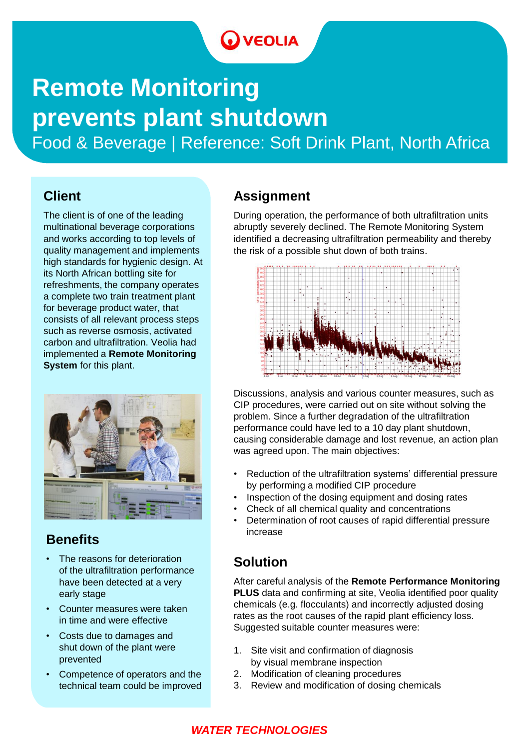### **O** VEOLIA

## **Remote Monitoring prevents plant shutdown**

Food & Beverage | Reference: Soft Drink Plant, North Africa

#### **Client**

The client is of one of the leading multinational beverage corporations and works according to top levels of quality management and implements high standards for hygienic design. At its North African bottling site for refreshments, the company operates a complete two train treatment plant for beverage product water, that consists of all relevant process steps such as reverse osmosis, activated carbon and ultrafiltration. Veolia had implemented a **Remote Monitoring System** for this plant.



#### **Benefits**

- The reasons for deterioration of the ultrafiltration performance have been detected at a very early stage
- Counter measures were taken in time and were effective
- Costs due to damages and shut down of the plant were prevented
- Competence of operators and the technical team could be improved

#### **Assignment**

During operation, the performance of both ultrafiltration units abruptly severely declined. The Remote Monitoring System identified a decreasing ultrafiltration permeability and thereby the risk of a possible shut down of both trains.



Discussions, analysis and various counter measures, such as CIP procedures, were carried out on site without solving the problem. Since a further degradation of the ultrafiltration performance could have led to a 10 day plant shutdown, causing considerable damage and lost revenue, an action plan was agreed upon. The main objectives:

- Reduction of the ultrafiltration systems' differential pressure by performing a modified CIP procedure
- Inspection of the dosing equipment and dosing rates
- Check of all chemical quality and concentrations
- Determination of root causes of rapid differential pressure increase

#### **Solution**

After careful analysis of the **Remote Performance Monitoring PLUS** data and confirming at site, Veolia identified poor quality chemicals (e.g. flocculants) and incorrectly adjusted dosing rates as the root causes of the rapid plant efficiency loss. Suggested suitable counter measures were:

- 1. Site visit and confirmation of diagnosis by visual membrane inspection
- 2. Modification of cleaning procedures
- 3. Review and modification of dosing chemicals

#### *WATER TECHNOLOGIES*